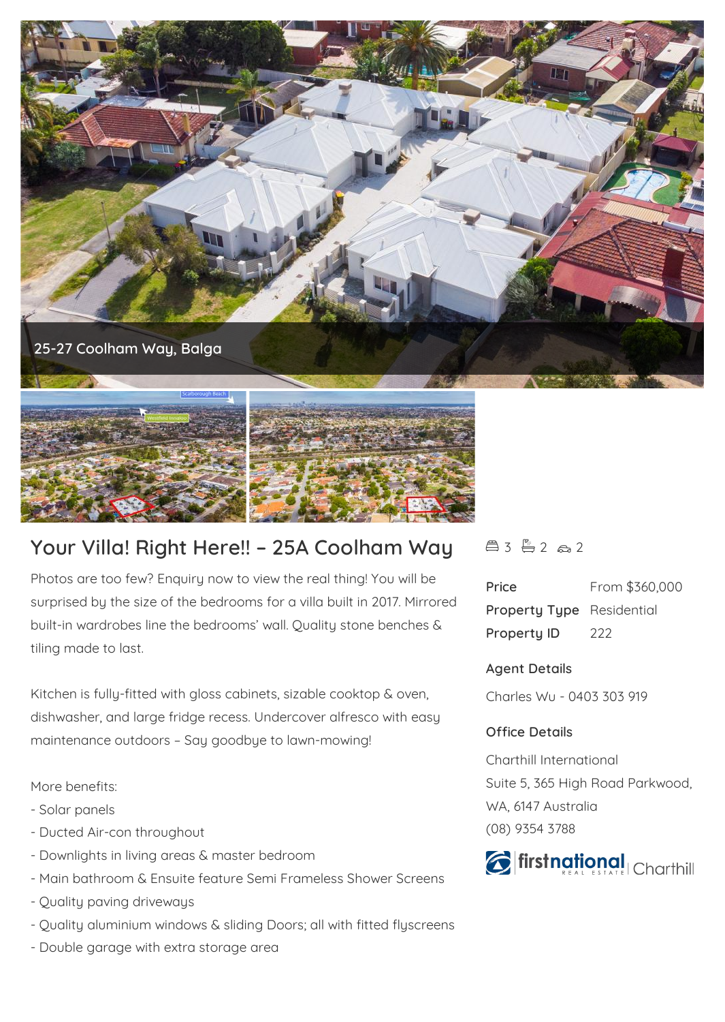

## **Your Villa! Right Here!! – 25A Coolham Way**

Photos are too few? Enquiry now to view the real thing! You will be surprised by the size of the bedrooms for a villa built in 2017. Mirrored built-in wardrobes line the bedrooms' wall. Quality stone benches & tiling made to last.

Kitchen is fully-fitted with gloss cabinets, sizable cooktop & oven, dishwasher, and large fridge recess. Undercover alfresco with easy maintenance outdoors – Say goodbye to lawn-mowing!

More benefits:

- Solar panels
- Ducted Air-con throughout
- Downlights in living areas & master bedroom
- Main bathroom & Ensuite feature Semi Frameless Shower Screens
- Quality paving driveways
- Quality aluminium windows & sliding Doors; all with fitted flyscreens
- Double garage with extra storage area

## $43 - 2 - 2$

| Price                            | From \$360,000 |
|----------------------------------|----------------|
| <b>Property Type</b> Residential |                |
| <b>Property ID</b>               | 222            |

## **Agent Details**

Charles Wu - 0403 303 919

## **Office Details**

Charthill International Suite 5, 365 High Road Parkwood, WA, 6147 Australia (08) 9354 3788